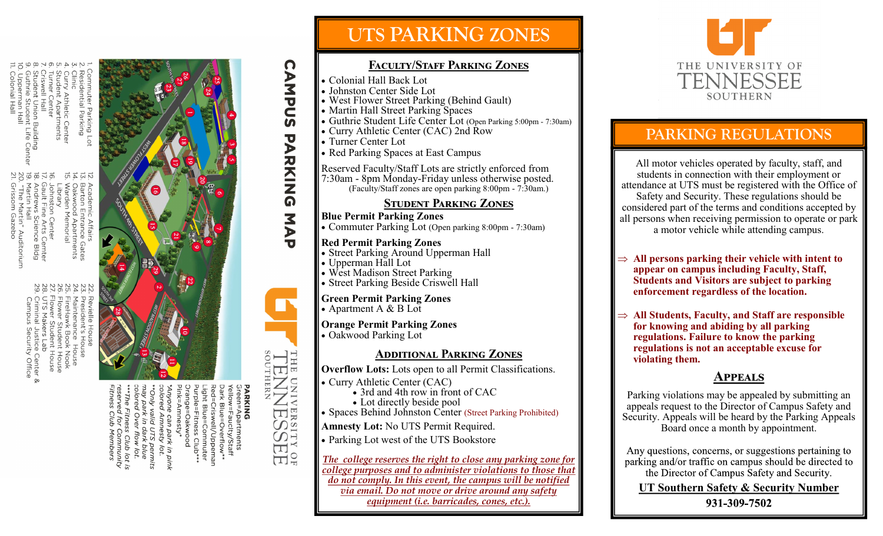

ton Center<br>Fine Arts C

- Arts Cemter<br>Science Bldg
- Auditorium
- 
- 
- 
- 
- 
- 
- 
- 

# e Center &<br>ity Office

- 
- 
- 

Criswell/Uppemar<br>Criswell/Uppemar<br>Blue=Commuter ne can park in pink<br>d Amnesty lot. ` permits<br>' blue

# **UTS PARKING ZONES**

### **Faculty/Staff Parking Zones**

- Colonial Hall Back Lot
- Johnston Center Side Lot
- West Flower Street Parking (Behind Gault)
- Martin Hall Street Parking Spaces
- Guthrie Student Life Center Lot (Open Parking 5:00pm 7:30am)
- Curry Athletic Center (CAC) 2nd Row
- Turner Center Lot

**CAMPUS** 

**PARKING** 

MAP

**LENPIN** 

PARKING<br>Green=Ap.

partments

THE  $\Box$ 

**NIND** 

VERSITY OF

• Red Parking Spaces at East Campus

Reserved Faculty/Staff Lots are strictly enforced from 7:30am - 8pm Monday-Friday unless otherwise posted. (Faculty/Staff zones are open parking 8:00pm - 7:30am.)

### **Student Parking Zones**

#### **Blue Permit Parking Zones**

• Commuter Parking Lot (Open parking 8:00pm - 7:30am)

### **Red Permit Parking Zones**

- Street Parking Around Upperman Hall
- Upperman Hall Lot
- West Madison Street Parking
- Street Parking Beside Criswell Hall

#### **Green Permit Parking Zones** • Apartment A & B Lot

**Orange Permit Parking Zones**

• Oakwood Parking Lot

### **Additional Parking Zones**

**Overflow Lots:** Lots open to all Permit Classifications.

• Curry Athletic Center (CAC)

• 3rd and 4th row in front of CAC

- Lot directly beside pool
- Spaces Behind Johnston Center (Street Parking Prohibited)

**Amnesty Lot:** No UTS Permit Required.

• Parking Lot west of the UTS Bookstore

*The college reserves the right to close any parking zone for college purposes and to administer violations to those that do not comply. In this event, the campus will be notified via email. Do not move or drive around any safety equipment (i.e. barricades, cones, etc.).*



# **PARKING REGULATIONS**

All motor vehicles operated by faculty, staff, and students in connection with their employment or attendance at UTS must be registered with the Office of Safety and Security. These regulations should be considered part of the terms and conditions accepted by all persons when receiving permission to operate or park a motor vehicle while attending campus.

- $\Rightarrow$  All persons parking their vehicle with intent to **appear on campus including Faculty, Staff, Students and Visitors are subject to parking enforcement regardless of the location.**
- $\Rightarrow$  All Students, Faculty, and Staff are responsible **for knowing and abiding by all parking regulations. Failure to know the parking regulations is not an acceptable excuse for violating them.**

### **Appeals**

Parking violations may be appealed by submitting an appeals request to the Director of Campus Safety and Security. Appeals will be heard by the Parking Appeals Board once a month by appointment.

Any questions, concerns, or suggestions pertaining to parking and/or traffic on campus should be directed to the Director of Campus Safety and Security.

**UT Southern Safety & Security Number** 931-309-7502